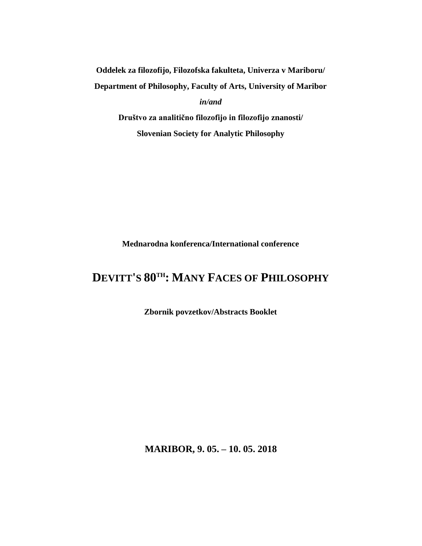**Oddelek za filozofijo, Filozofska fakulteta, Univerza v Mariboru/ Department of Philosophy, Faculty of Arts, University of Maribor** *in/and* **Društvo za analitično filozofijo in filozofijo znanosti/**

**Slovenian Society for Analytic Philosophy**

**Mednarodna konferenca/International conference**

# **DEVITT'S 80TH: MANY FACES OF PHILOSOPHY**

**Zbornik povzetkov/Abstracts Booklet**

**MARIBOR, 9. 05. – 10. 05. 2018**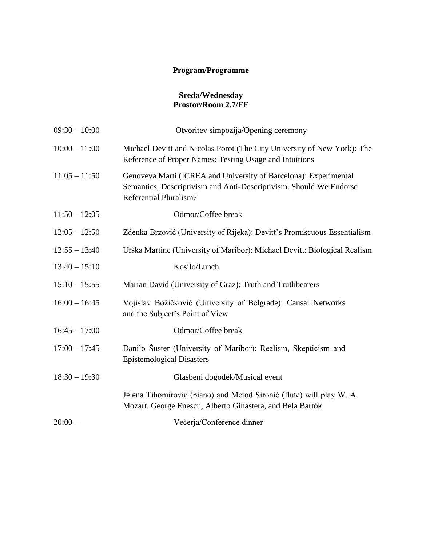# **Program/Programme**

#### **Sreda/Wednesday Prostor/Room 2.7/FF**

| $09:30 - 10:00$ | Otvoritev simpozija/Opening ceremony                                                                                                                                    |
|-----------------|-------------------------------------------------------------------------------------------------------------------------------------------------------------------------|
| $10:00 - 11:00$ | Michael Devitt and Nicolas Porot (The City University of New York): The<br>Reference of Proper Names: Testing Usage and Intuitions                                      |
| $11:05 - 11:50$ | Genoveva Marti (ICREA and University of Barcelona): Experimental<br>Semantics, Descriptivism and Anti-Descriptivism. Should We Endorse<br><b>Referential Pluralism?</b> |
| $11:50 - 12:05$ | Odmor/Coffee break                                                                                                                                                      |
| $12:05 - 12:50$ | Zdenka Brzović (University of Rijeka): Devitt's Promiscuous Essentialism                                                                                                |
| $12:55 - 13:40$ | Urška Martinc (University of Maribor): Michael Devitt: Biological Realism                                                                                               |
| $13:40 - 15:10$ | Kosilo/Lunch                                                                                                                                                            |
| $15:10 - 15:55$ | Marian David (University of Graz): Truth and Truthbearers                                                                                                               |
| $16:00 - 16:45$ | Vojislav Božičković (University of Belgrade): Causal Networks<br>and the Subject's Point of View                                                                        |
| $16:45 - 17:00$ | Odmor/Coffee break                                                                                                                                                      |
| $17:00 - 17:45$ | Danilo Šuster (University of Maribor): Realism, Skepticism and<br><b>Epistemological Disasters</b>                                                                      |
| $18:30 - 19:30$ | Glasbeni dogodek/Musical event                                                                                                                                          |
|                 | Jelena Tihomirović (piano) and Metod Sironić (flute) will play W. A.<br>Mozart, George Enescu, Alberto Ginastera, and Béla Bartók                                       |
| $20:00-$        | Večerja/Conference dinner                                                                                                                                               |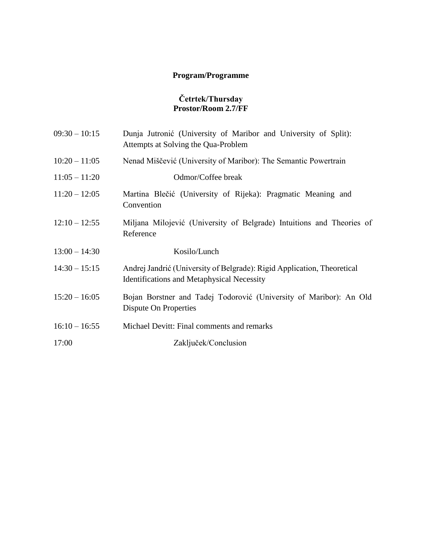# **Program/Programme**

#### **Četrtek/Thursday Prostor/Room 2.7/FF**

| $09:30 - 10:15$ | Dunja Jutronić (University of Maribor and University of Split):<br>Attempts at Solving the Qua-Problem                       |
|-----------------|------------------------------------------------------------------------------------------------------------------------------|
| $10:20 - 11:05$ | Nenad Miščević (University of Maribor): The Semantic Powertrain                                                              |
| $11:05 - 11:20$ | Odmor/Coffee break                                                                                                           |
| $11:20 - 12:05$ | Martina Blečić (University of Rijeka): Pragmatic Meaning and<br>Convention                                                   |
| $12:10 - 12:55$ | Miljana Milojević (University of Belgrade) Intuitions and Theories of<br>Reference                                           |
| $13:00 - 14:30$ | Kosilo/Lunch                                                                                                                 |
| $14:30 - 15:15$ | Andrej Jandrić (University of Belgrade): Rigid Application, Theoretical<br><b>Identifications and Metaphysical Necessity</b> |
| $15:20 - 16:05$ | Bojan Borstner and Tadej Todorović (University of Maribor): An Old<br>Dispute On Properties                                  |
| $16:10 - 16:55$ | Michael Devitt: Final comments and remarks                                                                                   |
| 17:00           | Zaključek/Conclusion                                                                                                         |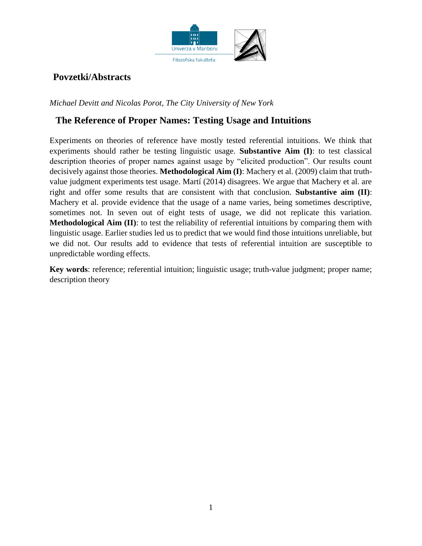

# **Povzetki/Abstracts**

*Michael Devitt and Nicolas Porot, The City University of New York*

### **The Reference of Proper Names: Testing Usage and Intuitions**

Experiments on theories of reference have mostly tested referential intuitions. We think that experiments should rather be testing linguistic usage. **Substantive Aim (I)**: to test classical description theories of proper names against usage by "elicited production". Our results count decisively against those theories. **Methodological Aim (I)**: Machery et al. (2009) claim that truthvalue judgment experiments test usage. Martí (2014) disagrees. We argue that Machery et al. are right and offer some results that are consistent with that conclusion. **Substantive aim (II)**: Machery et al. provide evidence that the usage of a name varies, being sometimes descriptive, sometimes not. In seven out of eight tests of usage, we did not replicate this variation. **Methodological Aim (II)**: to test the reliability of referential intuitions by comparing them with linguistic usage. Earlier studies led us to predict that we would find those intuitions unreliable, but we did not. Our results add to evidence that tests of referential intuition are susceptible to unpredictable wording effects.

**Key words**: reference; referential intuition; linguistic usage; truth-value judgment; proper name; description theory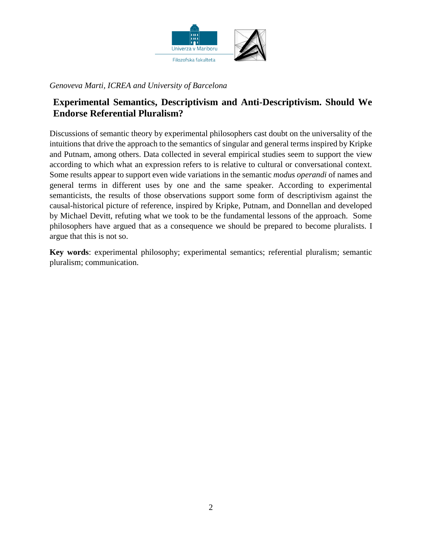

### *Genoveva Marti, ICREA and University of Barcelona*

### **Experimental Semantics, Descriptivism and Anti-Descriptivism. Should We Endorse Referential Pluralism?**

Discussions of semantic theory by experimental philosophers cast doubt on the universality of the intuitions that drive the approach to the semantics of singular and general terms inspired by Kripke and Putnam, among others. Data collected in several empirical studies seem to support the view according to which what an expression refers to is relative to cultural or conversational context. Some results appear to support even wide variations in the semantic *modus operandi* of names and general terms in different uses by one and the same speaker. According to experimental semanticists, the results of those observations support some form of descriptivism against the causal-historical picture of reference, inspired by Kripke, Putnam, and Donnellan and developed by Michael Devitt, refuting what we took to be the fundamental lessons of the approach. Some philosophers have argued that as a consequence we should be prepared to become pluralists. I argue that this is not so.

**Key words**: experimental philosophy; experimental semantics; referential pluralism; semantic pluralism; communication.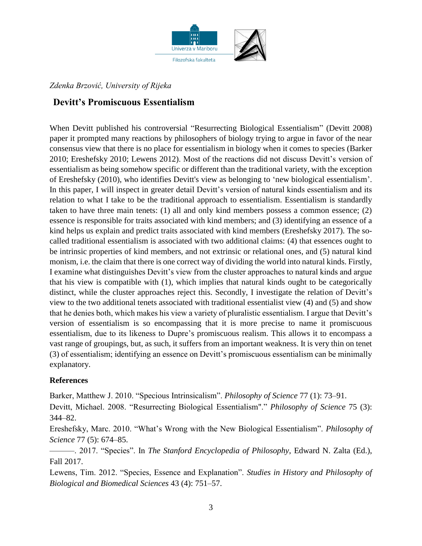

### *Zdenka Brzović, University of Rijeka*

### **Devitt's Promiscuous Essentialism**

When Devitt published his controversial "Resurrecting Biological Essentialism" (Devitt 2008) paper it prompted many reactions by philosophers of biology trying to argue in favor of the near consensus view that there is no place for essentialism in biology when it comes to species (Barker 2010; Ereshefsky 2010; Lewens 2012). Most of the reactions did not discuss Devitt's version of essentialism as being somehow specific or different than the traditional variety, with the exception of Ereshefsky (2010), who identifies Devitt's view as belonging to 'new biological essentialism'. In this paper, I will inspect in greater detail Devitt's version of natural kinds essentialism and its relation to what I take to be the traditional approach to essentialism. Essentialism is standardly taken to have three main tenets: (1) all and only kind members possess a common essence; (2) essence is responsible for traits associated with kind members; and (3) identifying an essence of a kind helps us explain and predict traits associated with kind members (Ereshefsky 2017). The socalled traditional essentialism is associated with two additional claims: (4) that essences ought to be intrinsic properties of kind members, and not extrinsic or relational ones, and (5) natural kind monism, i.e. the claim that there is one correct way of dividing the world into natural kinds. Firstly, I examine what distinguishes Devitt's view from the cluster approaches to natural kinds and argue that his view is compatible with (1), which implies that natural kinds ought to be categorically distinct, while the cluster approaches reject this. Secondly, I investigate the relation of Devitt's view to the two additional tenets associated with traditional essentialist view (4) and (5) and show that he denies both, which makes his view a variety of pluralistic essentialism. I argue that Devitt's version of essentialism is so encompassing that it is more precise to name it promiscuous essentialism, due to its likeness to Dupre's promiscuous realism. This allows it to encompass a vast range of groupings, but, as such, it suffers from an important weakness. It is very thin on tenet (3) of essentialism; identifying an essence on Devitt's promiscuous essentialism can be minimally explanatory.

#### **References**

Barker, Matthew J. 2010. "Specious Intrinsicalism". *Philosophy of Science* 77 (1): 73–91.

Devitt, Michael. 2008. "Resurrecting Biological Essentialism"." *Philosophy of Science* 75 (3): 344–82.

Ereshefsky, Marc. 2010. "What's Wrong with the New Biological Essentialism". *Philosophy of Science* 77 (5): 674–85.

———. 2017. "Species". In *The Stanford Encyclopedia of Philosophy*, Edward N. Zalta (Ed.), Fall 2017.

Lewens, Tim. 2012. "Species, Essence and Explanation". *Studies in History and Philosophy of Biological and Biomedical Sciences* 43 (4): 751–57.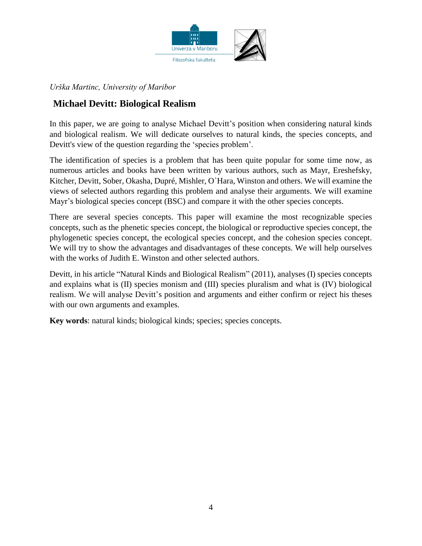

*Urška Martinc, University of Maribor*

# **Michael Devitt: Biological Realism**

In this paper, we are going to analyse Michael Devitt's position when considering natural kinds and biological realism. We will dedicate ourselves to natural kinds, the species concepts, and Devitt's view of the question regarding the 'species problem'.

The identification of species is a problem that has been quite popular for some time now, as numerous articles and books have been written by various authors, such as Mayr, Ereshefsky, Kitcher, Devitt, Sober, Okasha, Dupré, Mishler, O᾽Hara, Winston and others. We will examine the views of selected authors regarding this problem and analyse their arguments. We will examine Mayr's biological species concept (BSC) and compare it with the other species concepts.

There are several species concepts. This paper will examine the most recognizable species concepts, such as the phenetic species concept, the biological or reproductive species concept, the phylogenetic species concept, the ecological species concept, and the cohesion species concept. We will try to show the advantages and disadvantages of these concepts. We will help ourselves with the works of Judith E. Winston and other selected authors.

Devitt, in his article "Natural Kinds and Biological Realism" (2011), analyses (I) species concepts and explains what is (II) species monism and (III) species pluralism and what is (IV) biological realism. We will analyse Devitt's position and arguments and either confirm or reject his theses with our own arguments and examples.

**Key words**: natural kinds; biological kinds; species; species concepts.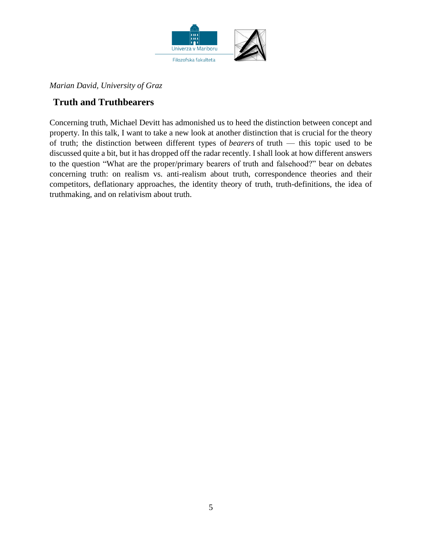

### *Marian David, University of Graz*

### **Truth and Truthbearers**

Concerning truth, Michael Devitt has admonished us to heed the distinction between concept and property. In this talk, I want to take a new look at another distinction that is crucial for the theory of truth; the distinction between different types of *bearers* of truth — this topic used to be discussed quite a bit, but it has dropped off the radar recently. I shall look at how different answers to the question "What are the proper/primary bearers of truth and falsehood?" bear on debates concerning truth: on realism vs. anti-realism about truth, correspondence theories and their competitors, deflationary approaches, the identity theory of truth, truth-definitions, the idea of truthmaking, and on relativism about truth.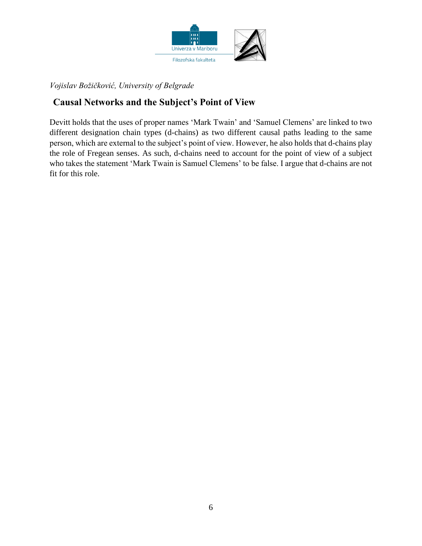

*Vojislav Božičković, University of Belgrade*

# **Causal Networks and the Subject's Point of View**

Devitt holds that the uses of proper names 'Mark Twain' and 'Samuel Clemens' are linked to two different designation chain types (d-chains) as two different causal paths leading to the same person, which are external to the subject's point of view. However, he also holds that d-chains play the role of Fregean senses. As such, d-chains need to account for the point of view of a subject who takes the statement 'Mark Twain is Samuel Clemens' to be false. I argue that d-chains are not fit for this role.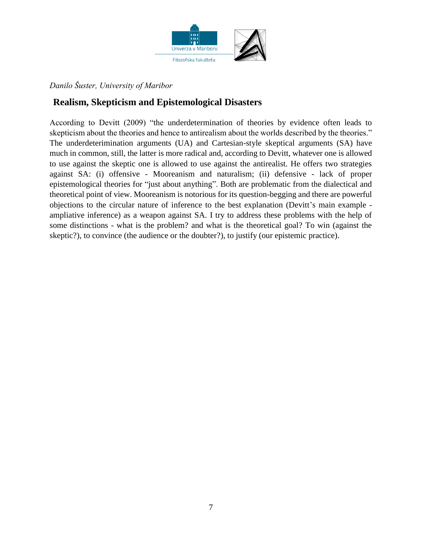

### *Danilo Šuster, University of Maribor*

### **Realism, Skepticism and Epistemological Disasters**

According to Devitt (2009) "the underdetermination of theories by evidence often leads to skepticism about the theories and hence to antirealism about the worlds described by the theories." The underdeterimination arguments (UA) and Cartesian-style skeptical arguments (SA) have much in common, still, the latter is more radical and, according to Devitt, whatever one is allowed to use against the skeptic one is allowed to use against the antirealist. He offers two strategies against SA: (i) offensive - Mooreanism and naturalism; (ii) defensive - lack of proper epistemological theories for "just about anything". Both are problematic from the dialectical and theoretical point of view. Mooreanism is notorious for its question-begging and there are powerful objections to the circular nature of inference to the best explanation (Devitt's main example ampliative inference) as a weapon against SA. I try to address these problems with the help of some distinctions - what is the problem? and what is the theoretical goal? To win (against the skeptic?), to convince (the audience or the doubter?), to justify (our epistemic practice).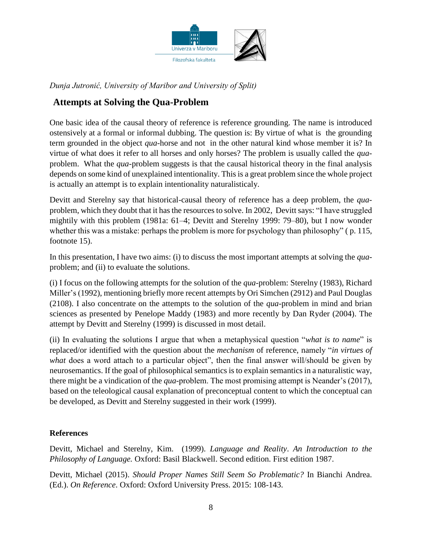

*Dunja Jutronić, University of Maribor and University of Split)*

# **Attempts at Solving the Qua-Problem**

One basic idea of the causal theory of reference is reference grounding. The name is introduced ostensively at a formal or informal dubbing. The question is: By virtue of what is the grounding term grounded in the object *qua*-horse and not in the other natural kind whose member it is? In virtue of what does it refer to all horses and only horses? The problem is usually called the *qua*problem. What the *qua*-problem suggests is that the causal historical theory in the final analysis depends on some kind of unexplained intentionality. This is a great problem since the whole project is actually an attempt is to explain intentionality naturalisticaly.

Devitt and Sterelny say that historical-causal theory of reference has a deep problem, the *qua*problem, which they doubt that it has the resources to solve. In 2002, Devitt says: "I have struggled mightily with this problem (1981a: 61–4; Devitt and Sterelny 1999: 79–80), but I now wonder whether this was a mistake: perhaps the problem is more for psychology than philosophy" (p. 115, footnote 15).

In this presentation, I have two aims: (i) to discuss the most important attempts at solving the *qua*problem; and (ii) to evaluate the solutions.

(i) I focus on the following attempts for the solution of the *qua*-problem: Sterelny (1983), Richard Miller's (1992), mentioning briefly more recent attempts by Ori Simchen (2912) and Paul Douglas (2108). I also concentrate on the attempts to the solution of the *qua*-problem in mind and brian sciences as presented by Penelope Maddy (1983) and more recently by Dan Ryder (2004). The attempt by Devitt and Sterelny (1999) is discussed in most detail.

(ii) In evaluating the solutions I argue that when a metaphysical question "*what is to name*" is replaced/or identified with the question about the *mechanism* of reference, namely "*in virtues of what* does a word attach to a particular object", then the final answer will/should be given by neurosemantics. If the goal of philosophical semantics is to explain semantics in a naturalistic way, there might be a vindication of the *qua*-problem. The most promising attempt is Neander's (2017), based on the teleological causal explanation of preconceptual content to which the conceptual can be developed, as Devitt and Sterelny suggested in their work (1999).

#### **References**

Devitt, Michael and Sterelny, Kim. (1999). *Language and Reality*. *An Introduction to the Philosophy of Language.* Oxford: Basil Blackwell. Second edition. First edition 1987.

Devitt, Michael (2015). *Should Proper Names Still Seem So Problematic?* In Bianchi Andrea. (Ed.). *On Reference*. Oxford: Oxford University Press. 2015: 108-143.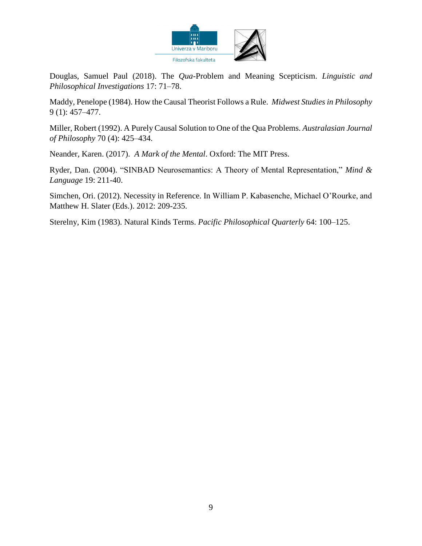

Douglas, Samuel Paul (2018). The *Qua*-Problem and Meaning Scepticism. *Linguistic and Philosophical Investigations* 17: 71–78.

Maddy, Penelope (1984). How the Causal Theorist Follows a Rule. *Midwest Studies in Philosophy*  9 (1): 457–477.

Miller, Robert (1992). A Purely Causal Solution to One of the Qua Problems. *Australasian Journal of Philosophy* 70 (4): 425–434.

Neander, Karen. (2017). *A Mark of the Mental*. Oxford: The MIT Press.

Ryder, Dan. (2004). "SINBAD Neurosemantics: A Theory of Mental Representation," *Mind & Language* 19: 211-40.

Simchen, Ori. (2012). Necessity in Reference. In William P. Kabasenche, Michael O'Rourke, and Matthew H. Slater (Eds.). 2012: 209-235.

Sterelny, Kim (1983). Natural Kinds Terms. *Pacific Philosophical Quarterly* 64: 100–125.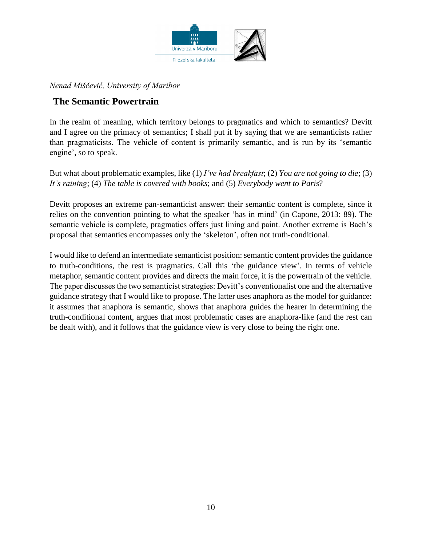

### *Nenad Miščević, University of Maribor*

### **The Semantic Powertrain**

In the realm of meaning, which territory belongs to pragmatics and which to semantics? Devitt and I agree on the primacy of semantics; I shall put it by saying that we are semanticists rather than pragmaticists. The vehicle of content is primarily semantic, and is run by its 'semantic engine', so to speak.

But what about problematic examples, like (1) *I've had breakfast*; (2) *You are not going to die*; (3) *It's raining*; (4) *The table is covered with books*; and (5) *Everybody went to Paris*?

Devitt proposes an extreme pan-semanticist answer: their semantic content is complete, since it relies on the convention pointing to what the speaker 'has in mind' (in Capone, 2013: 89). The semantic vehicle is complete, pragmatics offers just lining and paint. Another extreme is Bach's proposal that semantics encompasses only the 'skeleton', often not truth-conditional.

I would like to defend an intermediate semanticist position: semantic content provides the guidance to truth-conditions, the rest is pragmatics. Call this 'the guidance view'. In terms of vehicle metaphor, semantic content provides and directs the main force, it is the powertrain of the vehicle. The paper discusses the two semanticist strategies: Devitt's conventionalist one and the alternative guidance strategy that I would like to propose. The latter uses anaphora as the model for guidance: it assumes that anaphora is semantic, shows that anaphora guides the hearer in determining the truth-conditional content, argues that most problematic cases are anaphora-like (and the rest can be dealt with), and it follows that the guidance view is very close to being the right one.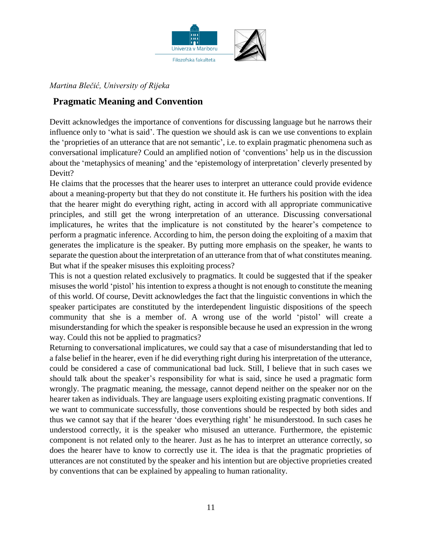

### *Martina Blečić, University of Rijeka*

### **Pragmatic Meaning and Convention**

Devitt acknowledges the importance of conventions for discussing language but he narrows their influence only to 'what is said'. The question we should ask is can we use conventions to explain the 'proprieties of an utterance that are not semantic', i.e. to explain pragmatic phenomena such as conversational implicature? Could an amplified notion of 'conventions' help us in the discussion about the 'metaphysics of meaning' and the 'epistemology of interpretation' cleverly presented by Devitt?

He claims that the processes that the hearer uses to interpret an utterance could provide evidence about a meaning-property but that they do not constitute it. He furthers his position with the idea that the hearer might do everything right, acting in accord with all appropriate communicative principles, and still get the wrong interpretation of an utterance. Discussing conversational implicatures, he writes that the implicature is not constituted by the hearer's competence to perform a pragmatic inference. According to him, the person doing the exploiting of a maxim that generates the implicature is the speaker. By putting more emphasis on the speaker, he wants to separate the question about the interpretation of an utterance from that of what constitutes meaning. But what if the speaker misuses this exploiting process?

This is not a question related exclusively to pragmatics. It could be suggested that if the speaker misuses the world 'pistol' his intention to express a thought is not enough to constitute the meaning of this world. Of course, Devitt acknowledges the fact that the linguistic conventions in which the speaker participates are constituted by the interdependent linguistic dispositions of the speech community that she is a member of. A wrong use of the world 'pistol' will create a misunderstanding for which the speaker is responsible because he used an expression in the wrong way. Could this not be applied to pragmatics?

Returning to conversational implicatures, we could say that a case of misunderstanding that led to a false belief in the hearer, even if he did everything right during his interpretation of the utterance, could be considered a case of communicational bad luck. Still, I believe that in such cases we should talk about the speaker's responsibility for what is said, since he used a pragmatic form wrongly. The pragmatic meaning, the message, cannot depend neither on the speaker nor on the hearer taken as individuals. They are language users exploiting existing pragmatic conventions. If we want to communicate successfully, those conventions should be respected by both sides and thus we cannot say that if the hearer 'does everything right' he misunderstood. In such cases he understood correctly, it is the speaker who misused an utterance. Furthermore, the epistemic component is not related only to the hearer. Just as he has to interpret an utterance correctly, so does the hearer have to know to correctly use it. The idea is that the pragmatic proprieties of utterances are not constituted by the speaker and his intention but are objective proprieties created by conventions that can be explained by appealing to human rationality.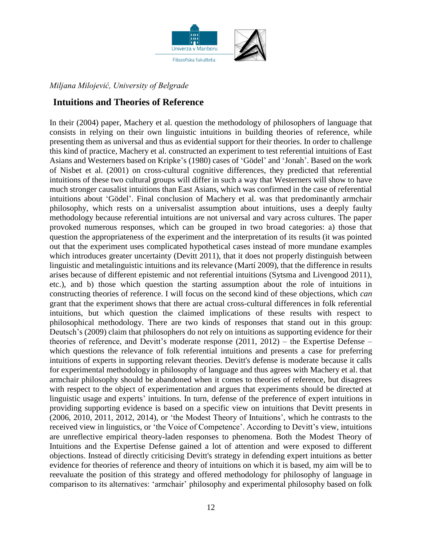

### *Miljana Milojević, University of Belgrade*

### **Intuitions and Theories of Reference**

In their (2004) paper, Machery et al. question the methodology of philosophers of language that consists in relying on their own linguistic intuitions in building theories of reference, while presenting them as universal and thus as evidential support for their theories. In order to challenge this kind of practice, Machery et al. constructed an experiment to test referential intuitions of East Asians and Westerners based on Kripke's (1980) cases of 'Gödel' and 'Jonah'. Based on the work of Nisbet et al. (2001) on cross-cultural cognitive differences, they predicted that referential intuitions of these two cultural groups will differ in such a way that Westerners will show to have much stronger causalist intuitions than East Asians, which was confirmed in the case of referential intuitions about 'Gödel'. Final conclusion of Machery et al. was that predominantly armchair philosophy, which rests on a universalist assumption about intuitions, uses a deeply faulty methodology because referential intuitions are not universal and vary across cultures. The paper provoked numerous responses, which can be grouped in two broad categories: a) those that question the appropriateness of the experiment and the interpretation of its results (it was pointed out that the experiment uses complicated hypothetical cases instead of more mundane examples which introduces greater uncertainty (Devitt 2011), that it does not properly distinguish between linguistic and metalinguistic intuitions and its relevance (Martí 2009), that the difference in results arises because of different epistemic and not referential intuitions (Sytsma and Livengood 2011), etc.), and b) those which question the starting assumption about the role of intuitions in constructing theories of reference. I will focus on the second kind of these objections, which *can* grant that the experiment shows that there are actual cross-cultural differences in folk referential intuitions, but which question the claimed implications of these results with respect to philosophical methodology. There are two kinds of responses that stand out in this group: Deutsch's (2009) claim that philosophers do not rely on intuitions as supporting evidence for their theories of reference, and Devitt's moderate response (2011, 2012) – the Expertise Defense – which questions the relevance of folk referential intuitions and presents a case for preferring intuitions of experts in supporting relevant theories. Devitt's defense is moderate because it calls for experimental methodology in philosophy of language and thus agrees with Machery et al. that armchair philosophy should be abandoned when it comes to theories of reference, but disagrees with respect to the object of experimentation and argues that experiments should be directed at linguistic usage and experts' intuitions. In turn, defense of the preference of expert intuitions in providing supporting evidence is based on a specific view on intuitions that Devitt presents in (2006, 2010, 2011, 2012, 2014), or 'the Modest Theory of Intuitions', which he contrasts to the received view in linguistics, or 'the Voice of Competence'. According to Devitt's view, intuitions are unreflective empirical theory-laden responses to phenomena. Both the Modest Theory of Intuitions and the Expertise Defense gained a lot of attention and were exposed to different objections. Instead of directly criticising Devitt's strategy in defending expert intuitions as better evidence for theories of reference and theory of intuitions on which it is based, my aim will be to reevaluate the position of this strategy and offered methodology for philosophy of language in comparison to its alternatives: 'armchair' philosophy and experimental philosophy based on folk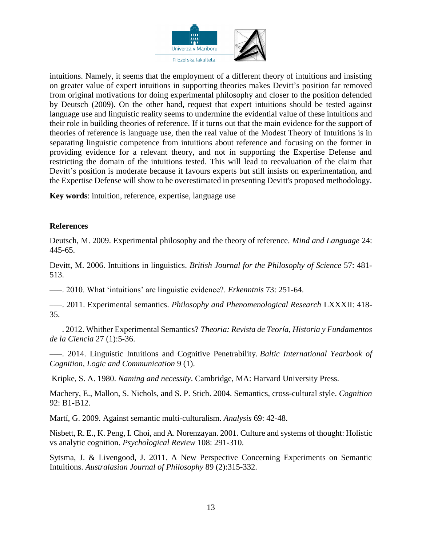

intuitions. Namely, it seems that the employment of a different theory of intuitions and insisting on greater value of expert intuitions in supporting theories makes Devitt's position far removed from original motivations for doing experimental philosophy and closer to the position defended by Deutsch (2009). On the other hand, request that expert intuitions should be tested against language use and linguistic reality seems to undermine the evidential value of these intuitions and their role in building theories of reference. If it turns out that the main evidence for the support of theories of reference is language use, then the real value of the Modest Theory of Intuitions is in separating linguistic competence from intuitions about reference and focusing on the former in providing evidence for a relevant theory, and not in supporting the Expertise Defense and restricting the domain of the intuitions tested. This will lead to reevaluation of the claim that Devitt's position is moderate because it favours experts but still insists on experimentation, and the Expertise Defense will show to be overestimated in presenting Devitt's proposed methodology.

**Key words**: intuition, reference, expertise, language use

#### **References**

Deutsch, M. 2009. Experimental philosophy and the theory of reference. *Mind and Language* 24: 445-65.

Devitt, M. 2006. Intuitions in linguistics. *British Journal for the Philosophy of Science* 57: 481- 513.

–––. 2010. What 'intuitions' are linguistic evidence?. *Erkenntnis* 73: 251-64.

–––. 2011. Experimental semantics. *Philosophy and Phenomenological Research* LXXXII: 418- 35.

–––. 2012. Whither Experimental Semantics? *Theoria: Revista de Teoría, Historia y Fundamentos de la Ciencia* 27 (1):5-36.

–––. 2014. Linguistic Intuitions and Cognitive Penetrability. *Baltic International Yearbook of Cognition, Logic and Communication* 9 (1).

Kripke, S. A. 1980. *Naming and necessity*. Cambridge, MA: Harvard University Press.

Machery, E., Mallon, S. Nichols, and S. P. Stich. 2004. Semantics, cross-cultural style. *Cognition* 92: B1-B12.

Martí, G. 2009. Against semantic multi-culturalism. *Analysis* 69: 42-48.

Nisbett, R. E., K. Peng, I. Choi, and A. Norenzayan. 2001. Culture and systems of thought: Holistic vs analytic cognition. *Psychological Review* 108: 291-310.

Sytsma, J. & Livengood, J. 2011. A New Perspective Concerning Experiments on Semantic Intuitions. *Australasian Journal of Philosophy* 89 (2):315-332.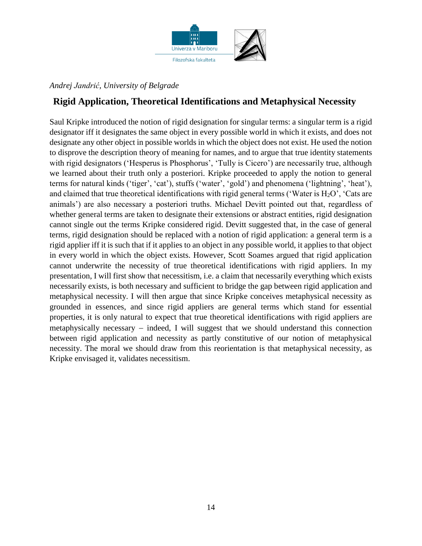

### *Andrej Jandrić, University of Belgrade*

### **Rigid Application, Theoretical Identifications and Metaphysical Necessity**

Saul Kripke introduced the notion of rigid designation for singular terms: a singular term is a rigid designator iff it designates the same object in every possible world in which it exists, and does not designate any other object in possible worlds in which the object does not exist. He used the notion to disprove the description theory of meaning for names, and to argue that true identity statements with rigid designators ('Hesperus is Phosphorus', 'Tully is Cicero') are necessarily true, although we learned about their truth only a posteriori. Kripke proceeded to apply the notion to general terms for natural kinds ('tiger', 'cat'), stuffs ('water', 'gold') and phenomena ('lightning', 'heat'), and claimed that true theoretical identifications with rigid general terms ('Water is  $H_2O'$ , 'Cats are animals') are also necessary a posteriori truths. Michael Devitt pointed out that, regardless of whether general terms are taken to designate their extensions or abstract entities, rigid designation cannot single out the terms Kripke considered rigid. Devitt suggested that, in the case of general terms, rigid designation should be replaced with a notion of rigid application: a general term is a rigid applier iff it is such that if it applies to an object in any possible world, it applies to that object in every world in which the object exists. However, Scott Soames argued that rigid application cannot underwrite the necessity of true theoretical identifications with rigid appliers. In my presentation, I will first show that necessitism, i.e. a claim that necessarily everything which exists necessarily exists, is both necessary and sufficient to bridge the gap between rigid application and metaphysical necessity. I will then argue that since Kripke conceives metaphysical necessity as grounded in essences, and since rigid appliers are general terms which stand for essential properties, it is only natural to expect that true theoretical identifications with rigid appliers are metaphysically necessary  $-$  indeed. I will suggest that we should understand this connection between rigid application and necessity as partly constitutive of our notion of metaphysical necessity. The moral we should draw from this reorientation is that metaphysical necessity, as Kripke envisaged it, validates necessitism.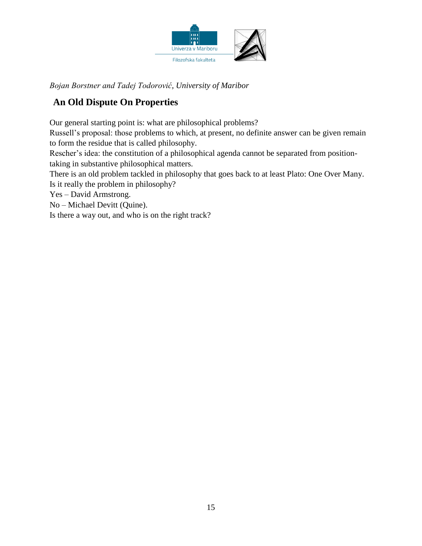

*Bojan Borstner and Tadej Todorović, University of Maribor*

# **An Old Dispute On Properties**

Our general starting point is: what are philosophical problems?

Russell's proposal: those problems to which, at present, no definite answer can be given remain to form the residue that is called philosophy.

Rescher's idea: the constitution of a philosophical agenda cannot be separated from positiontaking in substantive philosophical matters.

There is an old problem tackled in philosophy that goes back to at least Plato: One Over Many. Is it really the problem in philosophy?

Yes – David Armstrong.

No – Michael Devitt (Quine).

Is there a way out, and who is on the right track?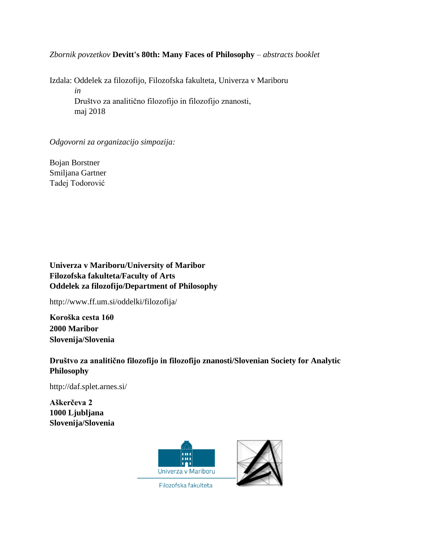#### *Zbornik povzetkov* **Devitt's 80th: Many Faces of Philosophy** – *abstracts booklet*

Izdala: Oddelek za filozofijo, Filozofska fakulteta, Univerza v Mariboru *in* Društvo za analitično filozofijo in filozofijo znanosti, maj 2018

#### *Odgovorni za organizacijo simpozija:*

Bojan Borstner Smiljana Gartner Tadej Todorović

**Univerza v Mariboru/University of Maribor Filozofska fakulteta/Faculty of Arts Oddelek za filozofijo/Department of Philosophy**

http://www.ff.um.si/oddelki/filozofija/

**Koroška cesta 160 2000 Maribor Slovenija/Slovenia**

**Društvo za analitično filozofijo in filozofijo znanosti/Slovenian Society for Analytic Philosophy**

http://daf.splet.arnes.si/

**Aškerčeva 2 1000 Ljubljana Slovenija/Slovenia**



Filozofska fakulteta